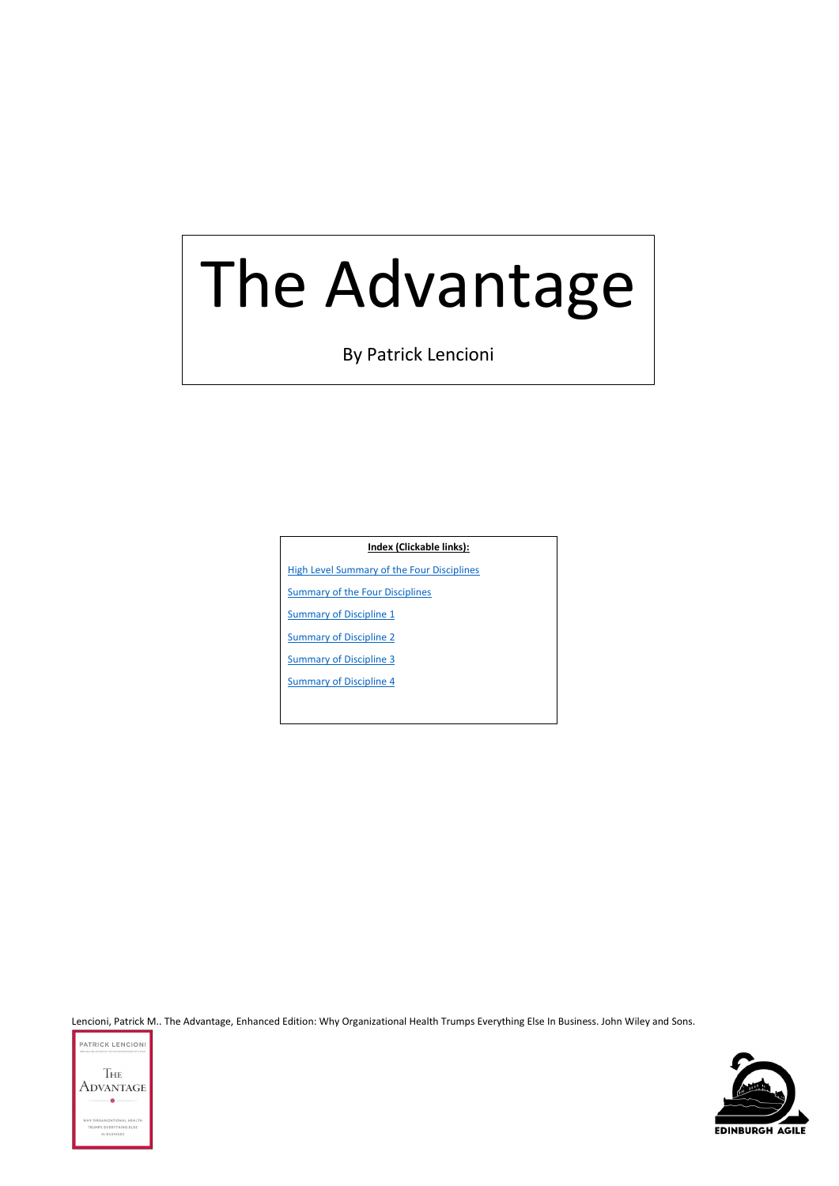



## The Advantage

By Patrick Lencioni

**Index (Clickable links):**

**[High Level Summary of the Four Disciplines](#page-1-0)** 

**[Summary of the Four Disciplines](#page-2-0)** 

**[Summary of Discipline 1](#page-4-0)** 

**[Summary of Discipline 2](#page-6-0)** 

**[Summary of Discipline 3](#page-8-0)** 

**[Summary of Discipline 4](#page-10-0)**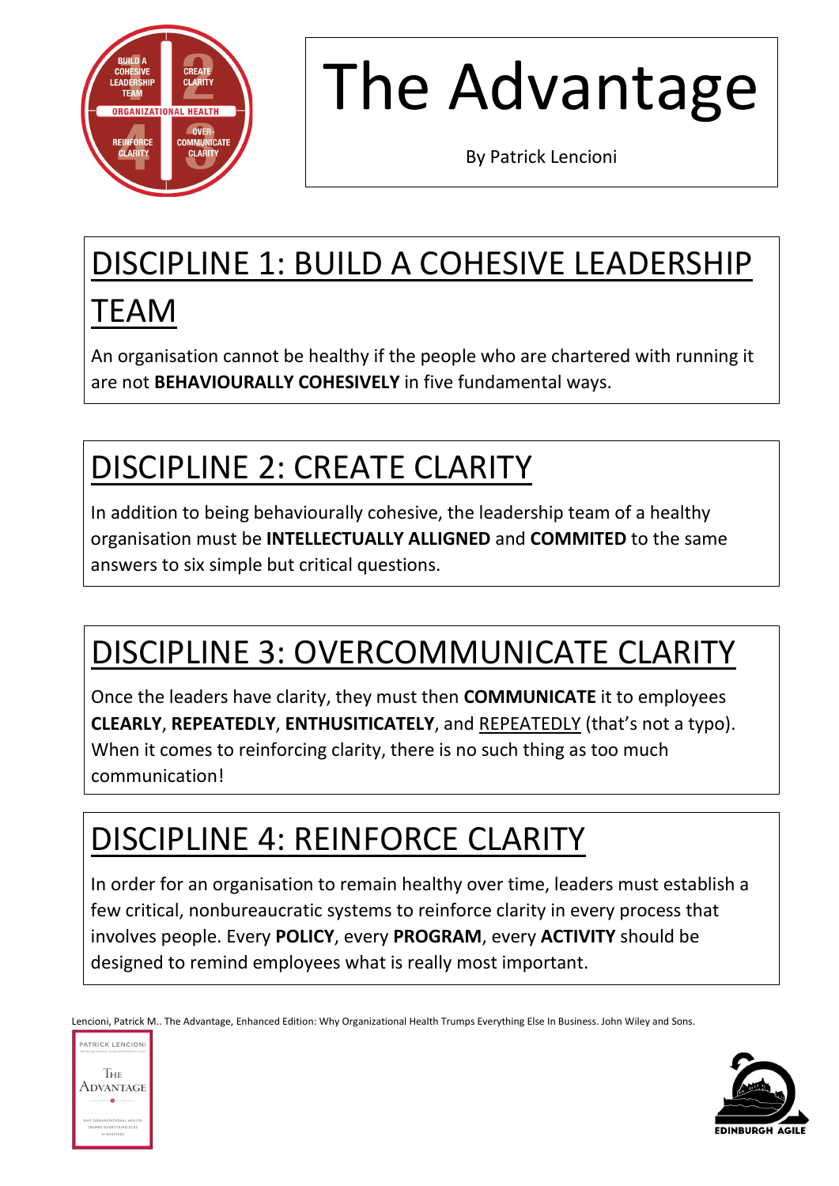





# The Advantage

By Patrick Lencioni

## <span id="page-1-0"></span>DISCIPLINE 1: BUILD A COHESIVE LEADERSHIP TEAM

An organisation cannot be healthy if the people who are chartered with running it are not **BEHAVIOURALLY COHESIVELY** in five fundamental ways.

## DISCIPLINE 2: CREATE CLARITY

In addition to being behaviourally cohesive, the leadership team of a healthy organisation must be **INTELLECTUALLY ALLIGNED** and **COMMITED** to the same answers to six simple but critical questions.

## DISCIPLINE 3: OVERCOMMUNICATE CLARITY

Once the leaders have clarity, they must then **COMMUNICATE** it to employees **CLEARLY**, **REPEATEDLY**, **ENTHUSITICATELY**, and REPEATEDLY (that's not a typo). When it comes to reinforcing clarity, there is no such thing as too much communication!

## DISCIPLINE 4: REINFORCE CLARITY

In order for an organisation to remain healthy over time, leaders must establish a

few critical, nonbureaucratic systems to reinforce clarity in every process that involves people. Every **POLICY**, every **PROGRAM**, every **ACTIVITY** should be designed to remind employees what is really most important.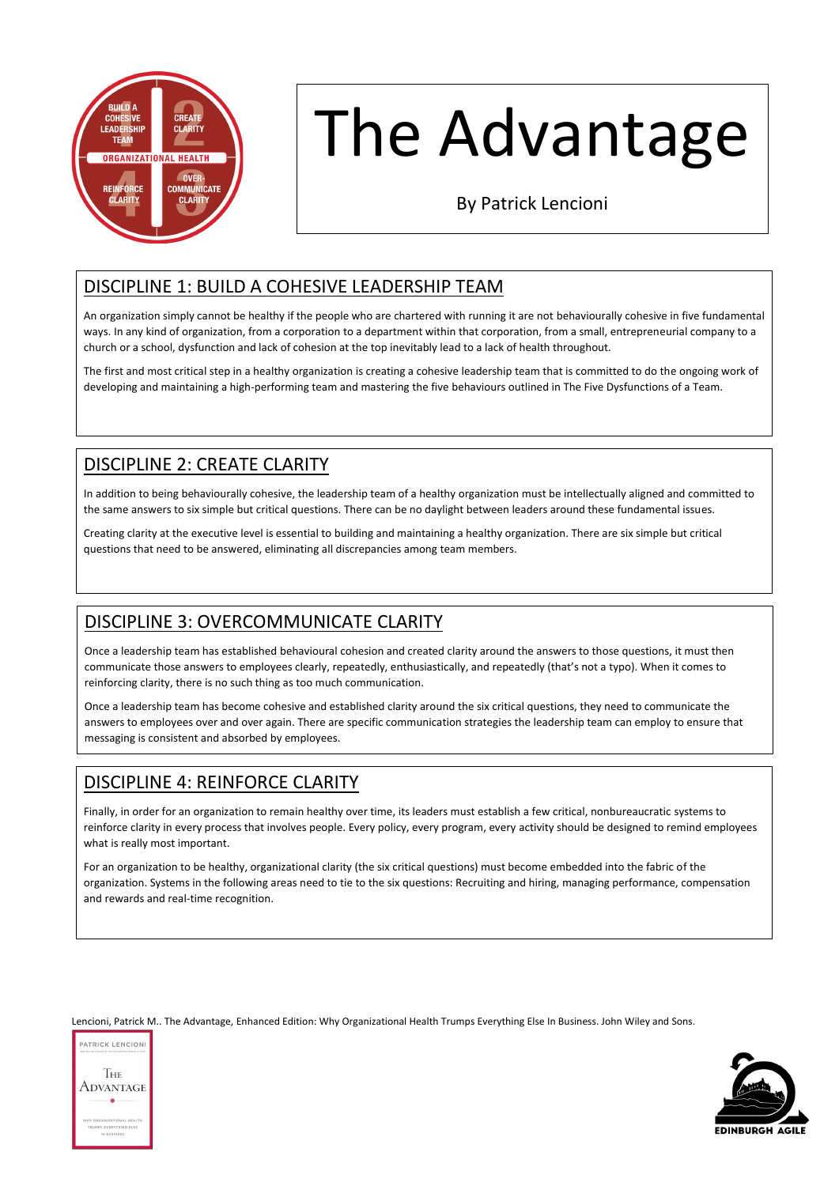



<span id="page-2-0"></span>

# The Advantage

By Patrick Lencioni

#### DISCIPLINE 1: BUILD A COHESIVE LEADERSHIP TEAM

An organization simply cannot be healthy if the people who are chartered with running it are not behaviourally cohesive in five fundamental ways. In any kind of organization, from a corporation to a department within that corporation, from a small, entrepreneurial company to a church or a school, dysfunction and lack of cohesion at the top inevitably lead to a lack of health throughout.

The first and most critical step in a healthy organization is creating a cohesive leadership team that is committed to do the ongoing work of developing and maintaining a high-performing team and mastering the five behaviours outlined in The Five Dysfunctions of a Team.

#### DISCIPLINE 2: CREATE CLARITY

In addition to being behaviourally cohesive, the leadership team of a healthy organization must be intellectually aligned and committed to the same answers to six simple but critical questions. There can be no daylight between leaders around these fundamental issues.

Creating clarity at the executive level is essential to building and maintaining a healthy organization. There are six simple but critical questions that need to be answered, eliminating all discrepancies among team members.

#### DISCIPLINE 3: OVERCOMMUNICATE CLARITY

Once a leadership team has established behavioural cohesion and created clarity around the answers to those questions, it must then communicate those answers to employees clearly, repeatedly, enthusiastically, and repeatedly (that's not a typo). When it comes to reinforcing clarity, there is no such thing as too much communication.

Once a leadership team has become cohesive and established clarity around the six critical questions, they need to communicate the answers to employees over and over again. There are specific communication strategies the leadership team can employ to ensure that messaging is consistent and absorbed by employees.

#### DISCIPLINE 4: REINFORCE CLARITY

Finally, in order for an organization to remain healthy over time, its leaders must establish a few critical, nonbureaucratic systems to reinforce clarity in every process that involves people. Every policy, every program, every activity should be designed to remind employees what is really most important.

For an organization to be healthy, organizational clarity (the six critical questions) must become embedded into the fabric of the organization. Systems in the following areas need to tie to the six questions: Recruiting and hiring, managing performance, compensation

and rewards and real-time recognition.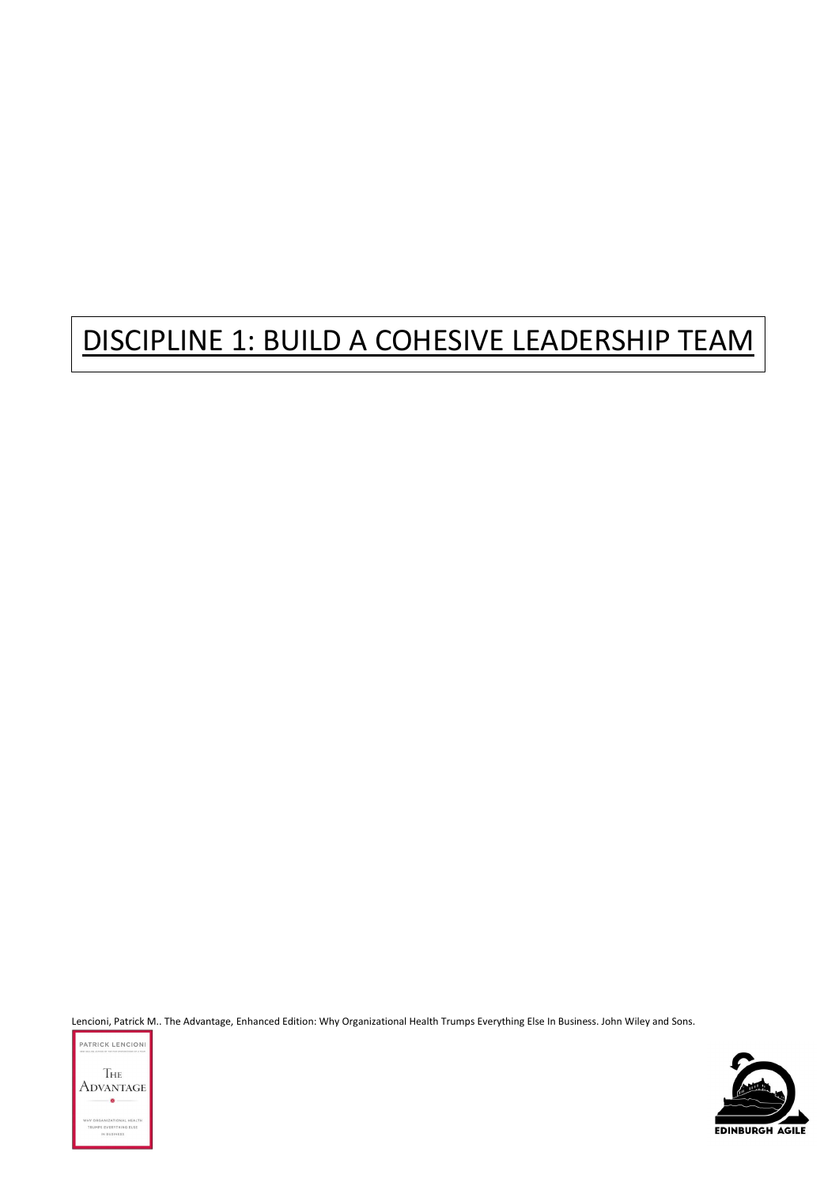



## DISCIPLINE 1: BUILD A COHESIVE LEADERSHIP TEAM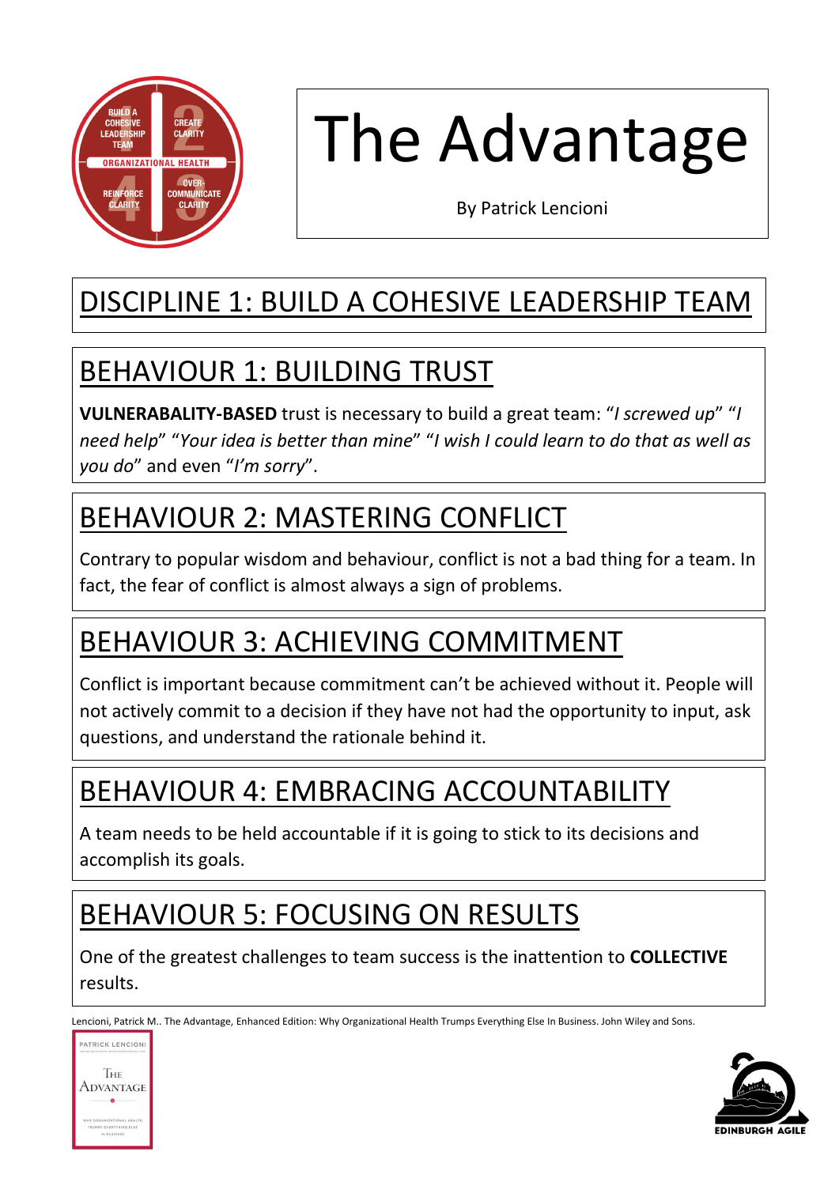



## <span id="page-4-0"></span>DISCIPLINE 1: BUILD A COHESIVE LEADERSHIP TEAM

## BEHAVIOUR 1: BUILDING TRUST

**VULNERABALITY-BASED** trust is necessary to build a great team: "*I screwed up*" "*I need help*" "*Your idea is better than mine*" "*I wish I could learn to do that as well as you do*" and even "*I'm sorry*".

## BEHAVIOUR 2: MASTERING CONFLICT

Contrary to popular wisdom and behaviour, conflict is not a bad thing for a team. In fact, the fear of conflict is almost always a sign of problems.

## BEHAVIOUR 3: ACHIEVING COMMITMENT

Conflict is important because commitment can't be achieved without it. People will not actively commit to a decision if they have not had the opportunity to input, ask questions, and understand the rationale behind it.

### BEHAVIOUR 4: EMBRACING ACCOUNTABILITY

A team needs to be held accountable if it is going to stick to its decisions and accomplish its goals.



# The Advantage

By Patrick Lencioni

#### BEHAVIOUR 5: FOCUSING ON RESULTS

#### One of the greatest challenges to team success is the inattention to **COLLECTIVE** results.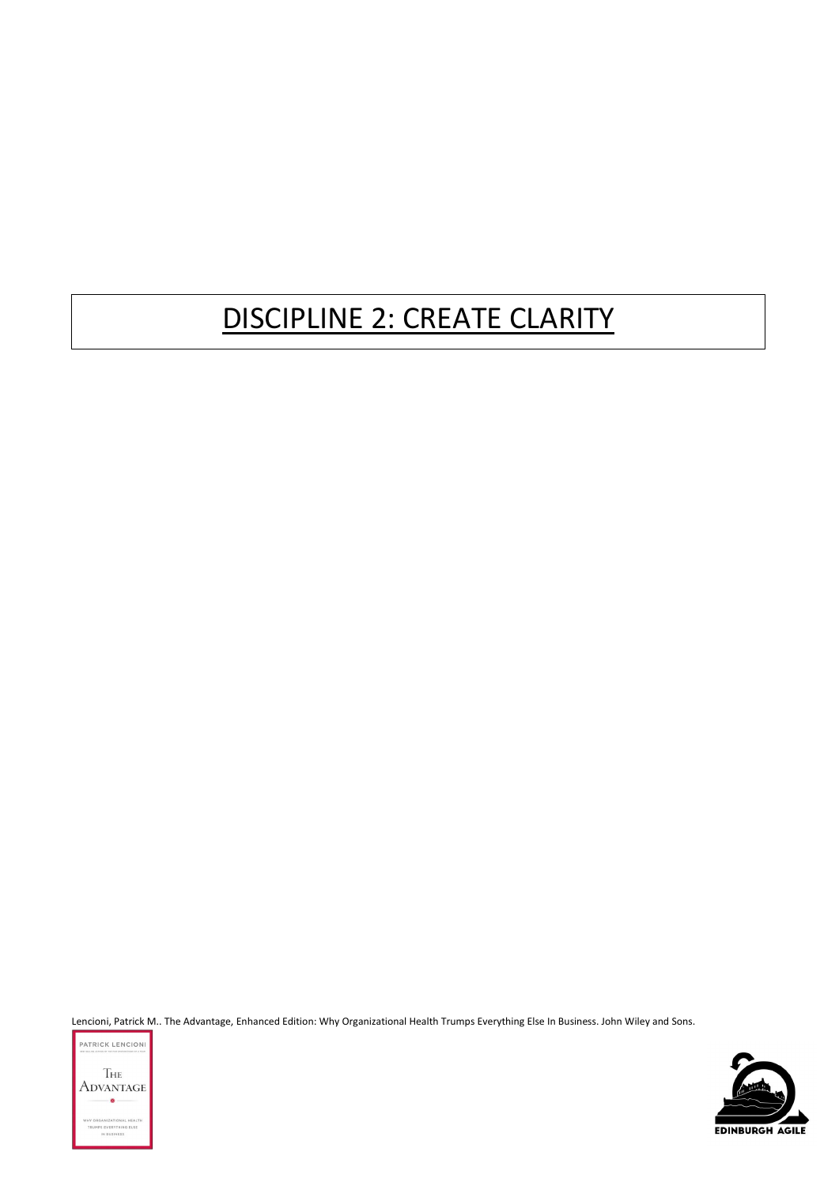



### DISCIPLINE 2: CREATE CLARITY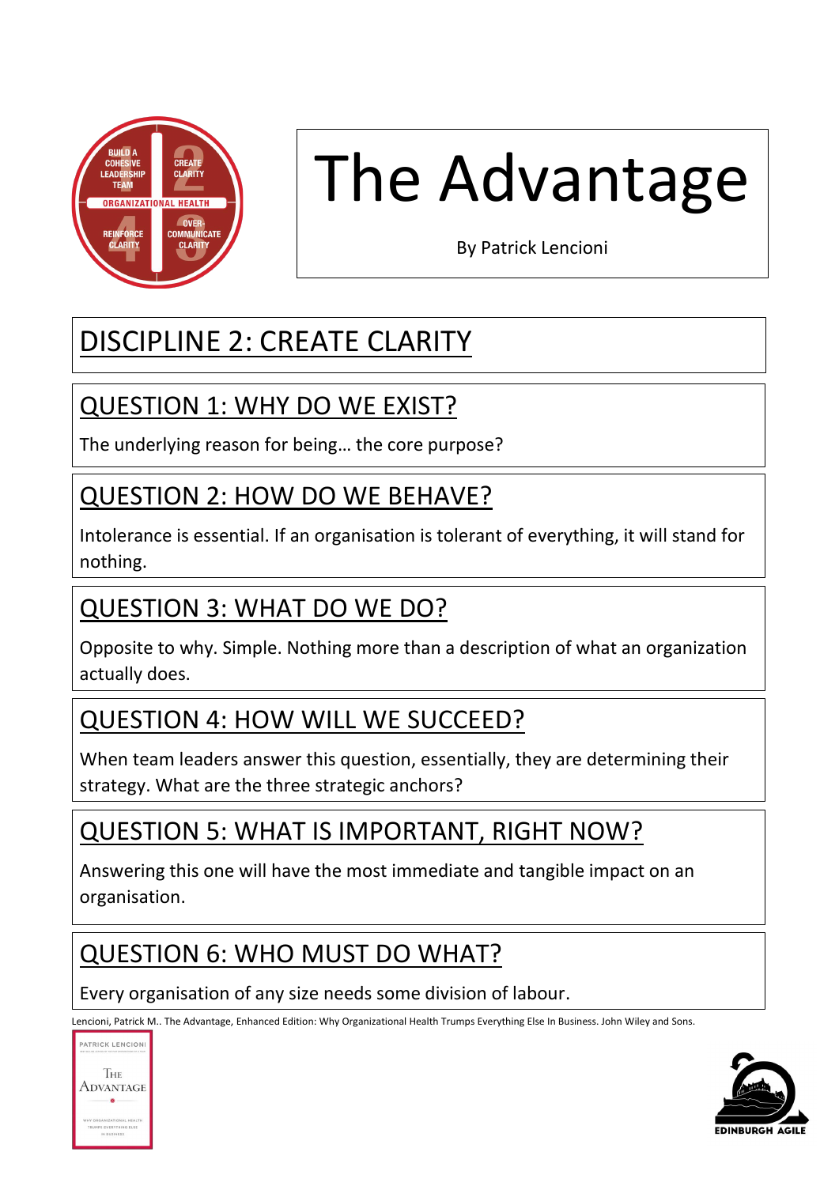



## <span id="page-6-0"></span>DISCIPLINE 2: CREATE CLARITY

#### QUESTION 1: WHY DO WE EXIST?

The underlying reason for being… the core purpose?



# The Advantage

By Patrick Lencioni

#### QUESTION 2: HOW DO WE BEHAVE?

Intolerance is essential. If an organisation is tolerant of everything, it will stand for nothing.

#### QUESTION 3: WHAT DO WE DO?

Opposite to why. Simple. Nothing more than a description of what an organization actually does.

#### QUESTION 4: HOW WILL WE SUCCEED?

When team leaders answer this question, essentially, they are determining their strategy. What are the three strategic anchors?

Lencioni, Patrick M.. The Advantage, Enhanced Edition: Why Organizational Health Answering this one will have the most immediate and tangible impact on an<br>. . . . . Answering this one will have the most immediate and tangible impact on an organisation.

## <u>QUESTION 6: WHO MUST DO WHAT?</u>

#### Every organisation of any size needs some division of labour.

#### QUESTION 5: WHAT IS IMPORTANT, RIGHT NOW?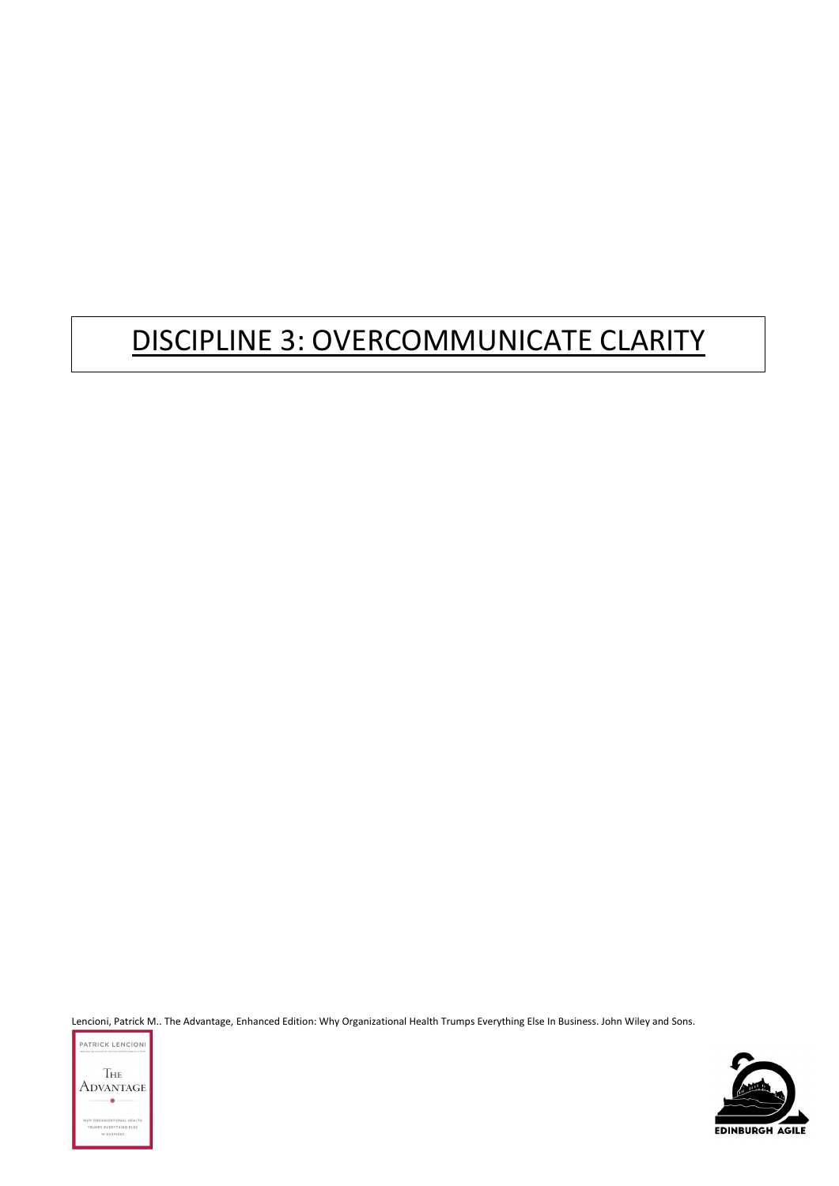



### DISCIPLINE 3: OVERCOMMUNICATE CLARITY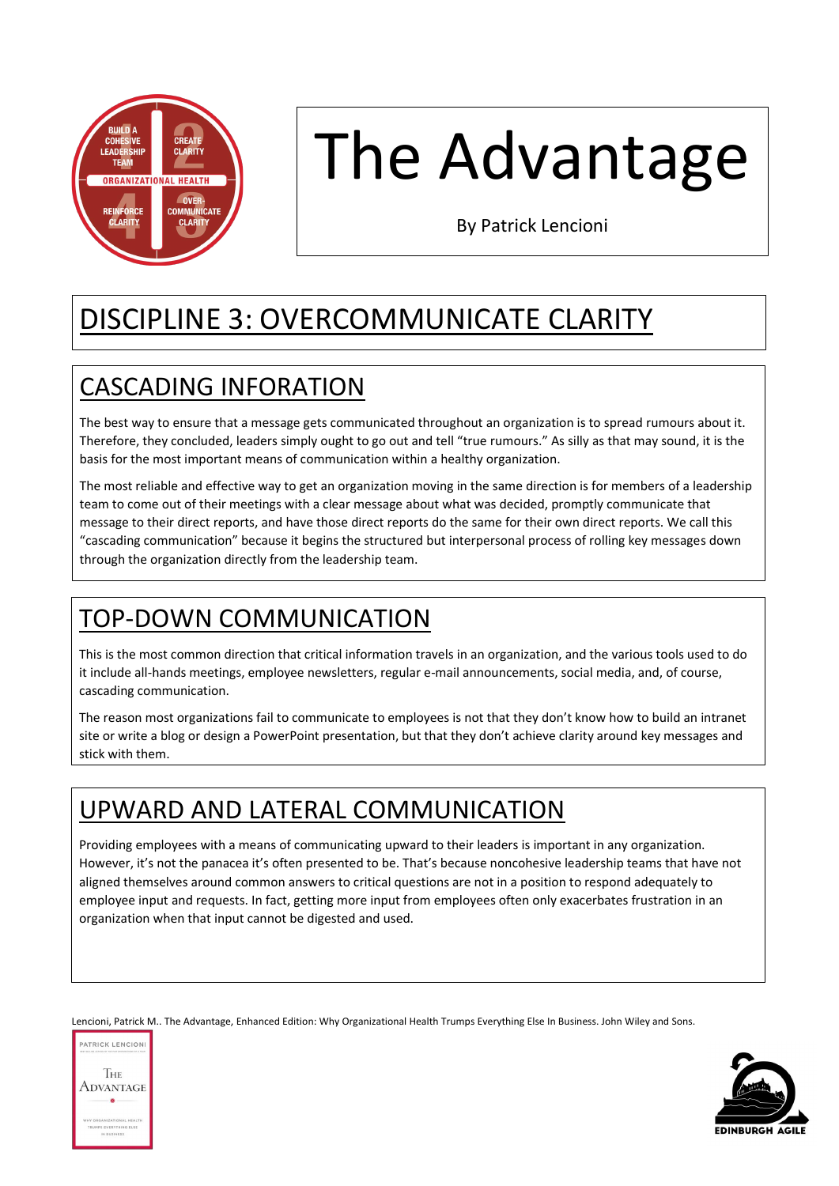



## <span id="page-8-0"></span>DISCIPLINE 3: OVERCOMMUNICATE CLARITY

#### CASCADING INFORATION

The best way to ensure that a message gets communicated throughout an organization is to spread rumours about it. Therefore, they concluded, leaders simply ought to go out and tell "true rumours." As silly as that may sound, it is the basis for the most important means of communication within a healthy organization.

The most reliable and effective way to get an organization moving in the same direction is for members of a leadership team to come out of their meetings with a clear message about what was decided, promptly communicate that message to their direct reports, and have those direct reports do the same for their own direct reports. We call this "cascading communication" because it begins the structured but interpersonal process of rolling key messages down through the organization directly from the leadership team.



# The Advantage

By Patrick Lencioni

#### TOP-DOWN COMMUNICATION

However, it's not the panacea it's often presented to be. That's because noncohesive leadership teams that have not<br>aligned themselves around common answers to critical questions are not in a nosition to respond adocuately employee input and requests. In fact, getting more input from employees often only exacerbates frustration in an Providing employees with a means of communicating upward to their leaders is important in any organization. aligned themselves around common answers to critical questions are not in a position to respond adequately to organization when that input cannot be digested and used.

This is the most common direction that critical information travels in an organization, and the various tools used to do it include all-hands meetings, employee newsletters, regular e-mail announcements, social media, and, of course, cascading communication.

The reason most organizations fail to communicate to employees is not that they don't know how to build an intranet site or write a blog or design a PowerPoint presentation, but that they don't achieve clarity around key messages and stick with them.

#### UPWARD AND LATERAL COMMUNICATION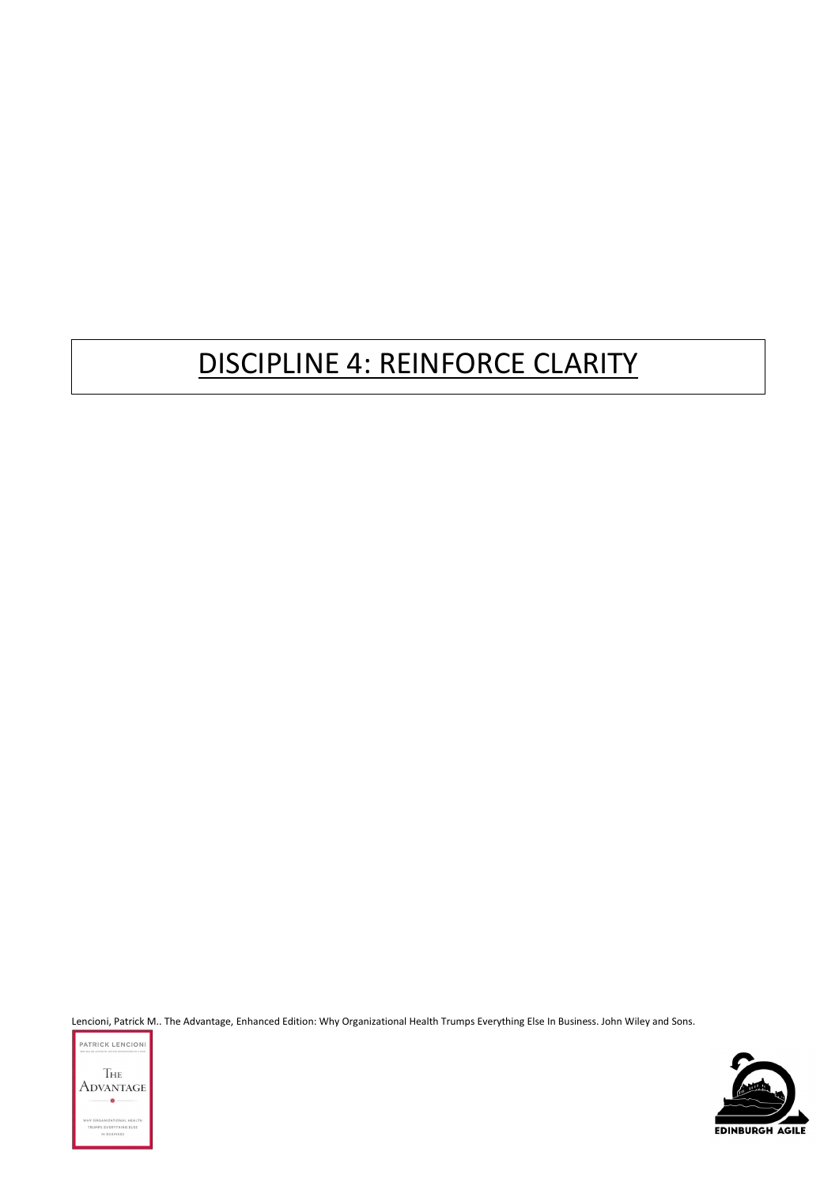



### DISCIPLINE 4: REINFORCE CLARITY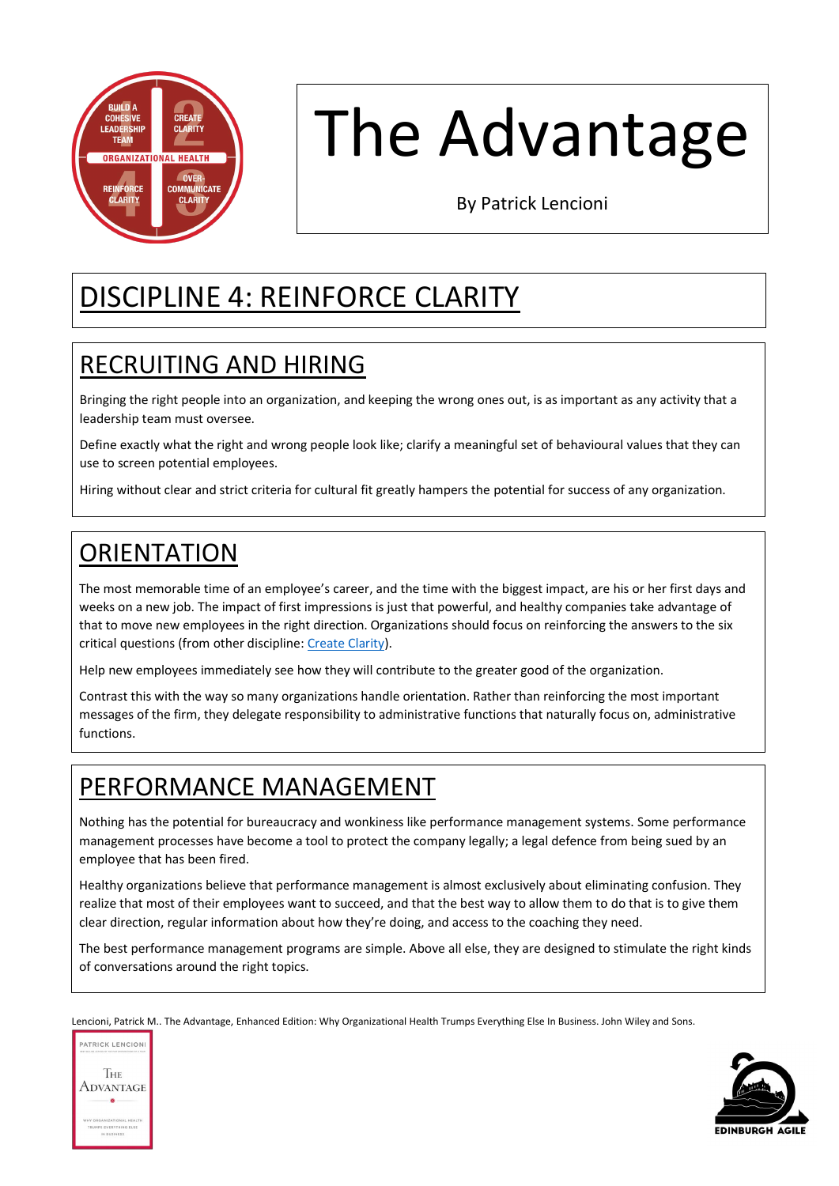### DISCIPLINE 4: REINFORCE CLARITY

#### RECRUITING AND HIRING

Bringing the right people into an organization, and keeping the wrong ones out, is as important as any activity that a leadership team must oversee.

Define exactly what the right and wrong people look like; clarify a meaningful set of behavioural values that they can use to screen potential employees.

Hiring without clear and strict criteria for cultural fit greatly hampers the potential for success of any organization.

#### **ORIENTATION**

<span id="page-10-0"></span>

# The Advantage

By Patrick Lencioni

The most memorable time of an employee's career, and the time with the biggest impact, are his or her first days and weeks on a new job. The impact of first impressions is just that powerful, and healthy companies take advantage of that to move new employees in the right direction. Organizations should focus on reinforcing the answers to the six critical questions (from other discipline: [Create Clarity\)](#page-6-0).

Help new employees immediately see how they will contribute to the greater good of the organization.

Contrast this with the way so many organizations handle orientation. Rather than reinforcing the most important messages of the firm, they delegate responsibility to administrative functions that naturally focus on, administrative functions.

#### PERFORMANCE MANAGEMENT

Nothing has the potential for bureaucracy and wonkiness like performance management systems. Some performance management processes have become a tool to protect the company legally; a legal defence from being sued by an employee that has been fired.

Healthy organizations believe that performance management is almost exclusively about eliminating confusion. They realize that most of their employees want to succeed, and that the best way to allow them to do that is to give them clear direction, regular information about how they're doing, and access to the coaching they need.

The best performance management programs are simple. Above all else, they are designed to stimulate the right kinds of conversations around the right topics.

Lencioni, Patrick M.. The Advantage, Enhanced Edition: Why Organizational Health Trumps Everything Else In Business. John Wiley and Sons.